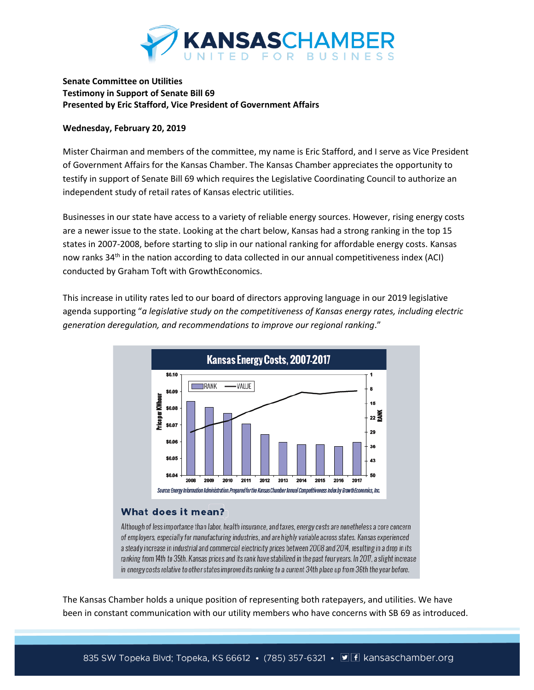

## **Senate Committee on Utilities Testimony in Support of Senate Bill 69 Presented by Eric Stafford, Vice President of Government Affairs**

## **Wednesday, February 20, 2019**

Mister Chairman and members of the committee, my name is Eric Stafford, and I serve as Vice President of Government Affairs for the Kansas Chamber. The Kansas Chamber appreciates the opportunity to testify in support of Senate Bill 69 which requires the Legislative Coordinating Council to authorize an independent study of retail rates of Kansas electric utilities.

Businesses in our state have access to a variety of reliable energy sources. However, rising energy costs are a newer issue to the state. Looking at the chart below, Kansas had a strong ranking in the top 15 states in 2007-2008, before starting to slip in our national ranking for affordable energy costs. Kansas now ranks 34<sup>th</sup> in the nation according to data collected in our annual competitiveness index (ACI) conducted by Graham Toft with GrowthEconomics.

This increase in utility rates led to our board of directors approving language in our 2019 legislative agenda supporting "*a legislative study on the competitiveness of Kansas energy rates, including electric generation deregulation, and recommendations to improve our regional ranking*."



## What does it mean?

Although of less importance than labor, health insurance, and taxes, energy costs are nonetheless a core concern of employers, especially for manufacturing industries, and are highly variable across states. Kansas experienced a steady increase in industrial and commercial electricity prices between 2008 and 2014, resulting in a drop in its ranking from 14th to 35th. Kansas prices and its rank have stabilized in the past four years. In 2017, a slight increase in energy costs relative to other states improved its ranking to a current 34th place up from 36th the year before.

The Kansas Chamber holds a unique position of representing both ratepayers, and utilities. We have been in constant communication with our utility members who have concerns with SB 69 as introduced.